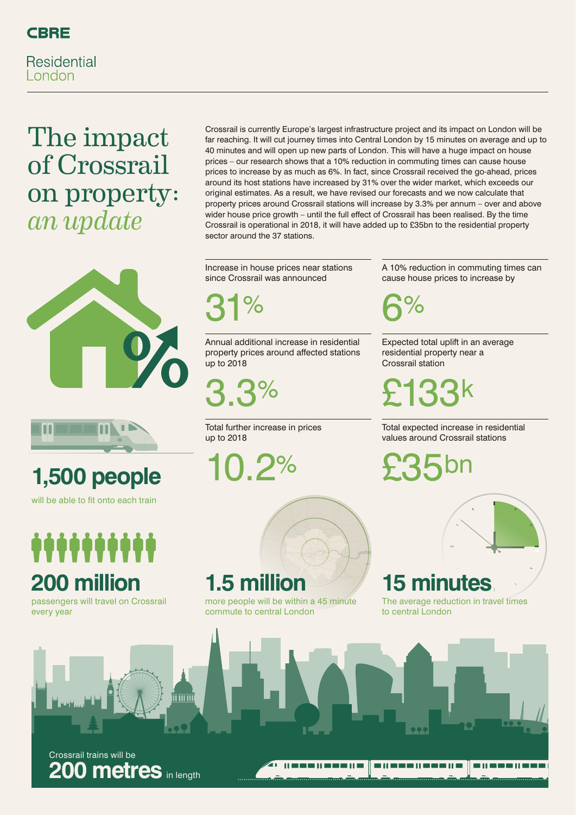

**Residential** London

### The impact of Crossrail on property: *an update*



# 10.2% **1,500 people**

will be able to fit onto each train

# manan **200 million**

passengers will travel on Crossrail every year



Crossrail trains will be **200 metres** in length

Crossrail is currently Europe's largest infrastructure project and its impact on London will be far reaching. It will cut journey times into Central London by 15 minutes on average and up to 40 minutes and will open up new parts of London. This will have a huge impact on house prices – our research shows that a 10% reduction in commuting times can cause house prices to increase by as much as 6%. In fact, since Crossrail received the go-ahead, prices around its host stations have increased by 31% over the wider market, which exceeds our original estimates. As a result, we have revised our forecasts and we now calculate that property prices around Crossrail stations will increase by 3.3% per annum – over and above wider house price growth – until the full effect of Crossrail has been realised. By the time Crossrail is operational in 2018, it will have added up to £35bn to the residential property sector around the 37 stations.

Increase in house prices near stations since Crossrail was announced

31%

Annual additional increase in residential property prices around affected stations up to 2018

3.3%

Total further increase in prices up to 2018

more people will be within a 45 minute

commute to central London

**1.5 mi** 

A 10% reduction in commuting times can cause house prices to increase by

6%

Expected total uplift in an average residential property near a Crossrail station

£133k

Total expected increase in residential values around Crossrail stations

£35bn



#### **15 minutes**

The average reduction in travel times to central London